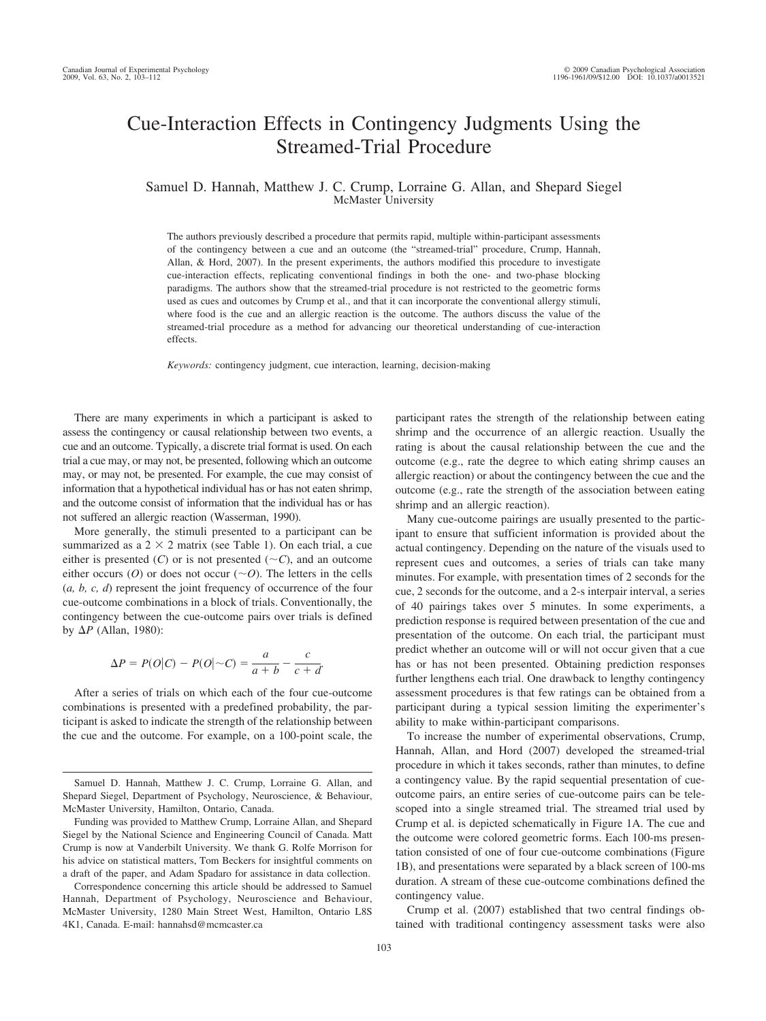# Cue-Interaction Effects in Contingency Judgments Using the Streamed-Trial Procedure

Samuel D. Hannah, Matthew J. C. Crump, Lorraine G. Allan, and Shepard Siegel McMaster University

The authors previously described a procedure that permits rapid, multiple within-participant assessments of the contingency between a cue and an outcome (the "streamed-trial" procedure, Crump, Hannah, Allan, & Hord, 2007). In the present experiments, the authors modified this procedure to investigate cue-interaction effects, replicating conventional findings in both the one- and two-phase blocking paradigms. The authors show that the streamed-trial procedure is not restricted to the geometric forms used as cues and outcomes by Crump et al., and that it can incorporate the conventional allergy stimuli, where food is the cue and an allergic reaction is the outcome. The authors discuss the value of the streamed-trial procedure as a method for advancing our theoretical understanding of cue-interaction effects.

*Keywords:* contingency judgment, cue interaction, learning, decision-making

There are many experiments in which a participant is asked to assess the contingency or causal relationship between two events, a cue and an outcome. Typically, a discrete trial format is used. On each trial a cue may, or may not, be presented, following which an outcome may, or may not, be presented. For example, the cue may consist of information that a hypothetical individual has or has not eaten shrimp, and the outcome consist of information that the individual has or has not suffered an allergic reaction (Wasserman, 1990).

More generally, the stimuli presented to a participant can be summarized as a  $2 \times 2$  matrix (see Table 1). On each trial, a cue either is presented  $(C)$  or is not presented  $(\sim C)$ , and an outcome either occurs (O) or does not occur ( $\sim$ O). The letters in the cells (*a, b, c, d*) represent the joint frequency of occurrence of the four cue-outcome combinations in a block of trials. Conventionally, the contingency between the cue-outcome pairs over trials is defined by  $\Delta P$  (Allan, 1980):

$$
\Delta P = P(O|C) - P(O|\sim C) = \frac{a}{a+b} - \frac{c}{c+d}.
$$

After a series of trials on which each of the four cue-outcome combinations is presented with a predefined probability, the participant is asked to indicate the strength of the relationship between the cue and the outcome. For example, on a 100-point scale, the

Correspondence concerning this article should be addressed to Samuel Hannah, Department of Psychology, Neuroscience and Behaviour, McMaster University, 1280 Main Street West, Hamilton, Ontario L8S 4K1, Canada. E-mail: hannahsd@mcmcaster.ca

participant rates the strength of the relationship between eating shrimp and the occurrence of an allergic reaction. Usually the rating is about the causal relationship between the cue and the outcome (e.g., rate the degree to which eating shrimp causes an allergic reaction) or about the contingency between the cue and the outcome (e.g., rate the strength of the association between eating shrimp and an allergic reaction).

Many cue-outcome pairings are usually presented to the participant to ensure that sufficient information is provided about the actual contingency. Depending on the nature of the visuals used to represent cues and outcomes, a series of trials can take many minutes. For example, with presentation times of 2 seconds for the cue, 2 seconds for the outcome, and a 2-s interpair interval, a series of 40 pairings takes over 5 minutes. In some experiments, a prediction response is required between presentation of the cue and presentation of the outcome. On each trial, the participant must predict whether an outcome will or will not occur given that a cue has or has not been presented. Obtaining prediction responses further lengthens each trial. One drawback to lengthy contingency assessment procedures is that few ratings can be obtained from a participant during a typical session limiting the experimenter's ability to make within-participant comparisons.

To increase the number of experimental observations, Crump, Hannah, Allan, and Hord (2007) developed the streamed-trial procedure in which it takes seconds, rather than minutes, to define a contingency value. By the rapid sequential presentation of cueoutcome pairs, an entire series of cue-outcome pairs can be telescoped into a single streamed trial. The streamed trial used by Crump et al. is depicted schematically in Figure 1A. The cue and the outcome were colored geometric forms. Each 100-ms presentation consisted of one of four cue-outcome combinations (Figure 1B), and presentations were separated by a black screen of 100-ms duration. A stream of these cue-outcome combinations defined the contingency value.

Crump et al. (2007) established that two central findings obtained with traditional contingency assessment tasks were also

Samuel D. Hannah, Matthew J. C. Crump, Lorraine G. Allan, and Shepard Siegel, Department of Psychology, Neuroscience, & Behaviour, McMaster University, Hamilton, Ontario, Canada.

Funding was provided to Matthew Crump, Lorraine Allan, and Shepard Siegel by the National Science and Engineering Council of Canada. Matt Crump is now at Vanderbilt University. We thank G. Rolfe Morrison for his advice on statistical matters, Tom Beckers for insightful comments on a draft of the paper, and Adam Spadaro for assistance in data collection.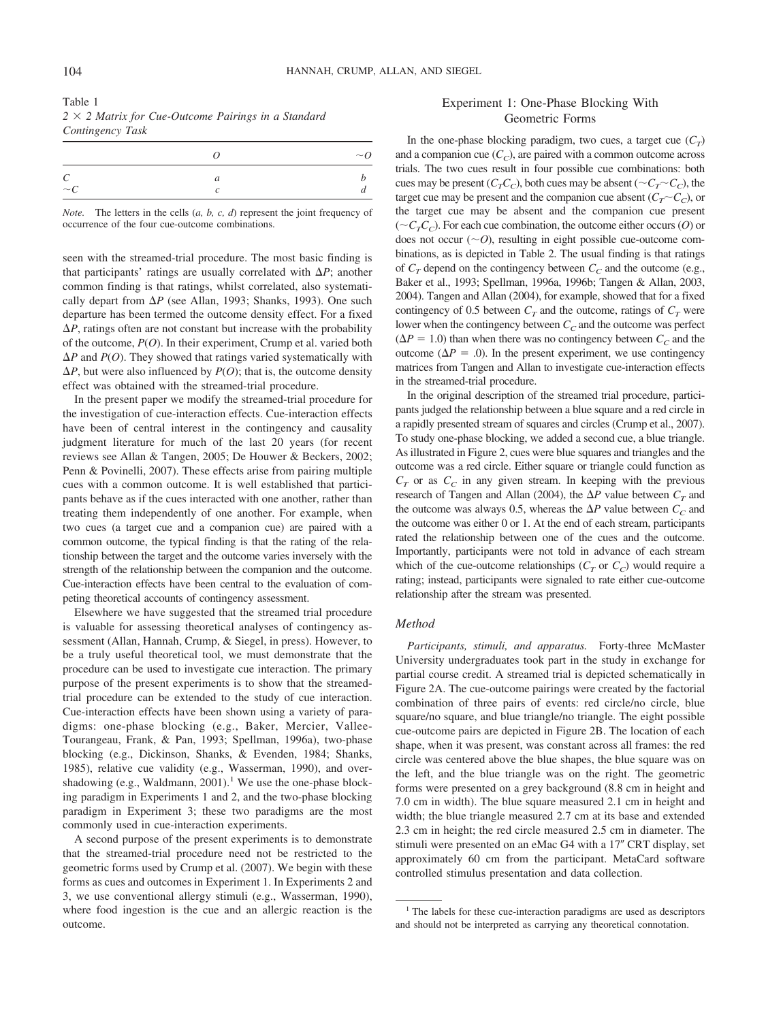| Table 1                                                    |  |  |
|------------------------------------------------------------|--|--|
| $2 \times 2$ Matrix for Cue-Outcome Pairings in a Standard |  |  |
| Contingency Task                                           |  |  |

|                        | $\sim_Q$ |
|------------------------|----------|
| $\epsilon$<br>$\sim c$ |          |

*Note.* The letters in the cells (*a, b, c, d*) represent the joint frequency of occurrence of the four cue-outcome combinations.

seen with the streamed-trial procedure. The most basic finding is that participants' ratings are usually correlated with  $\Delta P$ ; another common finding is that ratings, whilst correlated, also systematically depart from  $\Delta P$  (see Allan, 1993; Shanks, 1993). One such departure has been termed the outcome density effect. For a fixed  $\Delta P$ , ratings often are not constant but increase with the probability of the outcome, *P*(*O*). In their experiment, Crump et al. varied both  $\Delta P$  and  $P(O)$ . They showed that ratings varied systematically with  $\Delta P$ , but were also influenced by *P(O)*; that is, the outcome density effect was obtained with the streamed-trial procedure.

In the present paper we modify the streamed-trial procedure for the investigation of cue-interaction effects. Cue-interaction effects have been of central interest in the contingency and causality judgment literature for much of the last 20 years (for recent reviews see Allan & Tangen, 2005; De Houwer & Beckers, 2002; Penn & Povinelli, 2007). These effects arise from pairing multiple cues with a common outcome. It is well established that participants behave as if the cues interacted with one another, rather than treating them independently of one another. For example, when two cues (a target cue and a companion cue) are paired with a common outcome, the typical finding is that the rating of the relationship between the target and the outcome varies inversely with the strength of the relationship between the companion and the outcome. Cue-interaction effects have been central to the evaluation of competing theoretical accounts of contingency assessment.

Elsewhere we have suggested that the streamed trial procedure is valuable for assessing theoretical analyses of contingency assessment (Allan, Hannah, Crump, & Siegel, in press). However, to be a truly useful theoretical tool, we must demonstrate that the procedure can be used to investigate cue interaction. The primary purpose of the present experiments is to show that the streamedtrial procedure can be extended to the study of cue interaction. Cue-interaction effects have been shown using a variety of paradigms: one-phase blocking (e.g., Baker, Mercier, Vallee-Tourangeau, Frank, & Pan, 1993; Spellman, 1996a), two-phase blocking (e.g., Dickinson, Shanks, & Evenden, 1984; Shanks, 1985), relative cue validity (e.g., Wasserman, 1990), and overshadowing (e.g., Waldmann,  $2001$ ).<sup>1</sup> We use the one-phase blocking paradigm in Experiments 1 and 2, and the two-phase blocking paradigm in Experiment 3; these two paradigms are the most commonly used in cue-interaction experiments.

A second purpose of the present experiments is to demonstrate that the streamed-trial procedure need not be restricted to the geometric forms used by Crump et al. (2007). We begin with these forms as cues and outcomes in Experiment 1. In Experiments 2 and 3, we use conventional allergy stimuli (e.g., Wasserman, 1990), where food ingestion is the cue and an allergic reaction is the outcome.

# Experiment 1: One-Phase Blocking With Geometric Forms

In the one-phase blocking paradigm, two cues, a target cue  $(C_T)$ and a companion cue  $(C_C)$ , are paired with a common outcome across trials. The two cues result in four possible cue combinations: both cues may be present  $(C_T C_C)$ , both cues may be absent  $(\sim C_T \sim C_C)$ , the target cue may be present and the companion cue absent  $(C_T \sim C_C)$ , or the target cue may be absent and the companion cue present  $({\sim}C<sub>T</sub>C<sub>C</sub>)$ . For each cue combination, the outcome either occurs (O) or does not occur  $(\sim O)$ , resulting in eight possible cue-outcome combinations, as is depicted in Table 2. The usual finding is that ratings of  $C_T$  depend on the contingency between  $C_C$  and the outcome (e.g., Baker et al., 1993; Spellman, 1996a, 1996b; Tangen & Allan, 2003, 2004). Tangen and Allan (2004), for example, showed that for a fixed contingency of 0.5 between  $C_T$  and the outcome, ratings of  $C_T$  were lower when the contingency between  $C_C$  and the outcome was perfect  $(\Delta P = 1.0)$  than when there was no contingency between  $C_C$  and the outcome ( $\Delta P = .0$ ). In the present experiment, we use contingency matrices from Tangen and Allan to investigate cue-interaction effects in the streamed-trial procedure.

In the original description of the streamed trial procedure, participants judged the relationship between a blue square and a red circle in a rapidly presented stream of squares and circles (Crump et al., 2007). To study one-phase blocking, we added a second cue, a blue triangle. As illustrated in Figure 2, cues were blue squares and triangles and the outcome was a red circle. Either square or triangle could function as  $C_T$  or as  $C_C$  in any given stream. In keeping with the previous research of Tangen and Allan (2004), the  $\Delta P$  value between  $C_T$  and the outcome was always 0.5, whereas the  $\Delta P$  value between  $C_C$  and the outcome was either 0 or 1. At the end of each stream, participants rated the relationship between one of the cues and the outcome. Importantly, participants were not told in advance of each stream which of the cue-outcome relationships  $(C_T$  or  $C_C$ ) would require a rating; instead, participants were signaled to rate either cue-outcome relationship after the stream was presented.

### *Method*

*Participants, stimuli, and apparatus.* Forty-three McMaster University undergraduates took part in the study in exchange for partial course credit. A streamed trial is depicted schematically in Figure 2A. The cue-outcome pairings were created by the factorial combination of three pairs of events: red circle/no circle, blue square/no square, and blue triangle/no triangle. The eight possible cue-outcome pairs are depicted in Figure 2B. The location of each shape, when it was present, was constant across all frames: the red circle was centered above the blue shapes, the blue square was on the left, and the blue triangle was on the right. The geometric forms were presented on a grey background (8.8 cm in height and 7.0 cm in width). The blue square measured 2.1 cm in height and width; the blue triangle measured 2.7 cm at its base and extended 2.3 cm in height; the red circle measured 2.5 cm in diameter. The stimuli were presented on an eMac G4 with a 17" CRT display, set approximately 60 cm from the participant. MetaCard software controlled stimulus presentation and data collection.

<sup>&</sup>lt;sup>1</sup> The labels for these cue-interaction paradigms are used as descriptors and should not be interpreted as carrying any theoretical connotation.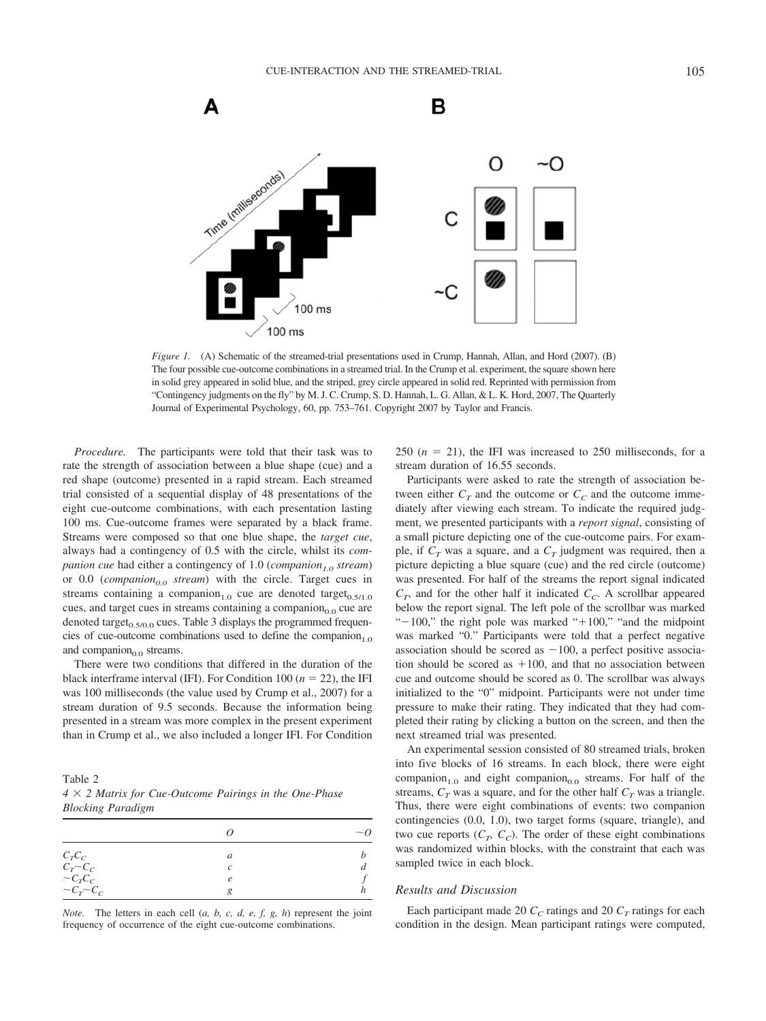

*Figure 1.* (A) Schematic of the streamed-trial presentations used in Crump, Hannah, Allan, and Hord (2007). (B) The four possible cue-outcome combinations in a streamed trial. In the Crump et al. experiment, the square shown here in solid grey appeared in solid blue, and the striped, grey circle appeared in solid red. Reprinted with permission from "Contingency judgments on the fly" by M. J. C. Crump, S. D. Hannah, L. G. Allan, & L. K. Hord, 2007, The Quarterly Journal of Experimental Psychology, 60, pp. 753–761. Copyright 2007 by Taylor and Francis.

*Procedure.* The participants were told that their task was to rate the strength of association between a blue shape (cue) and a red shape (outcome) presented in a rapid stream. Each streamed trial consisted of a sequential display of 48 presentations of the eight cue-outcome combinations, with each presentation lasting 100 ms. Cue-outcome frames were separated by a black frame. Streams were composed so that one blue shape, the *target cue*, always had a contingency of 0.5 with the circle, whilst its *companion cue* had either a contingency of 1.0 (*companion<sub>1.0</sub> stream*) or 0.0 (*companion*<sub>0.0</sub> *stream*) with the circle. Target cues in streams containing a companion<sub>1.0</sub> cue are denoted target<sub>0.5/1.0</sub> cues, and target cues in streams containing a companion $_{0.0}$  cue are denoted target $_{0.5/0.0}$  cues. Table 3 displays the programmed frequencies of cue-outcome combinations used to define the companion<sub>1.0</sub> and companion $_{0.0}$  streams.

There were two conditions that differed in the duration of the black interframe interval (IFI). For Condition 100 ( $n = 22$ ), the IFI was 100 milliseconds (the value used by Crump et al., 2007) for a stream duration of 9.5 seconds. Because the information being presented in a stream was more complex in the present experiment than in Crump et al., we also included a longer IFI. For Condition

Table 2 *4* - *2 Matrix for Cue-Outcome Pairings in the One-Phase Blocking Paradigm*

|                                                                         |            | $\sim_Q$ |
|-------------------------------------------------------------------------|------------|----------|
|                                                                         | а          |          |
| $\begin{array}{cc} C_T C_C \\ C_T \!\!\!\!\! \sim \!\! C_C \end{array}$ |            |          |
| $\sim C_T C_C$<br>$\sim C_T \sim C_C$                                   | $\epsilon$ |          |
|                                                                         |            |          |

*Note.* The letters in each cell (*a, b, c, d, e, f, g, h*) represent the joint frequency of occurrence of the eight cue-outcome combinations.

250  $(n = 21)$ , the IFI was increased to 250 milliseconds, for a stream duration of 16.55 seconds.

Participants were asked to rate the strength of association between either  $C_T$  and the outcome or  $C_C$  and the outcome immediately after viewing each stream. To indicate the required judgment, we presented participants with a *report signal*, consisting of a small picture depicting one of the cue-outcome pairs. For example, if  $C_T$  was a square, and a  $C_T$  judgment was required, then a picture depicting a blue square (cue) and the red circle (outcome) was presented. For half of the streams the report signal indicated  $C_T$ , and for the other half it indicated  $C_C$ . A scrollbar appeared below the report signal. The left pole of the scrollbar was marked " $-100$ ," the right pole was marked " $+100$ ," "and the midpoint was marked "0." Participants were told that a perfect negative association should be scored as  $-100$ , a perfect positive association should be scored as 100, and that no association between cue and outcome should be scored as 0. The scrollbar was always initialized to the "0" midpoint. Participants were not under time pressure to make their rating. They indicated that they had completed their rating by clicking a button on the screen, and then the next streamed trial was presented.

An experimental session consisted of 80 streamed trials, broken into five blocks of 16 streams. In each block, there were eight companion<sub>1.0</sub> and eight companion<sub>0.0</sub> streams. For half of the streams,  $C_T$  was a square, and for the other half  $C_T$  was a triangle. Thus, there were eight combinations of events: two companion contingencies (0.0, 1.0), two target forms (square, triangle), and two cue reports  $(C_T, C_C)$ . The order of these eight combinations was randomized within blocks, with the constraint that each was sampled twice in each block.

### *Results and Discussion*

Each participant made 20  $C_C$  ratings and 20  $C_T$  ratings for each condition in the design. Mean participant ratings were computed,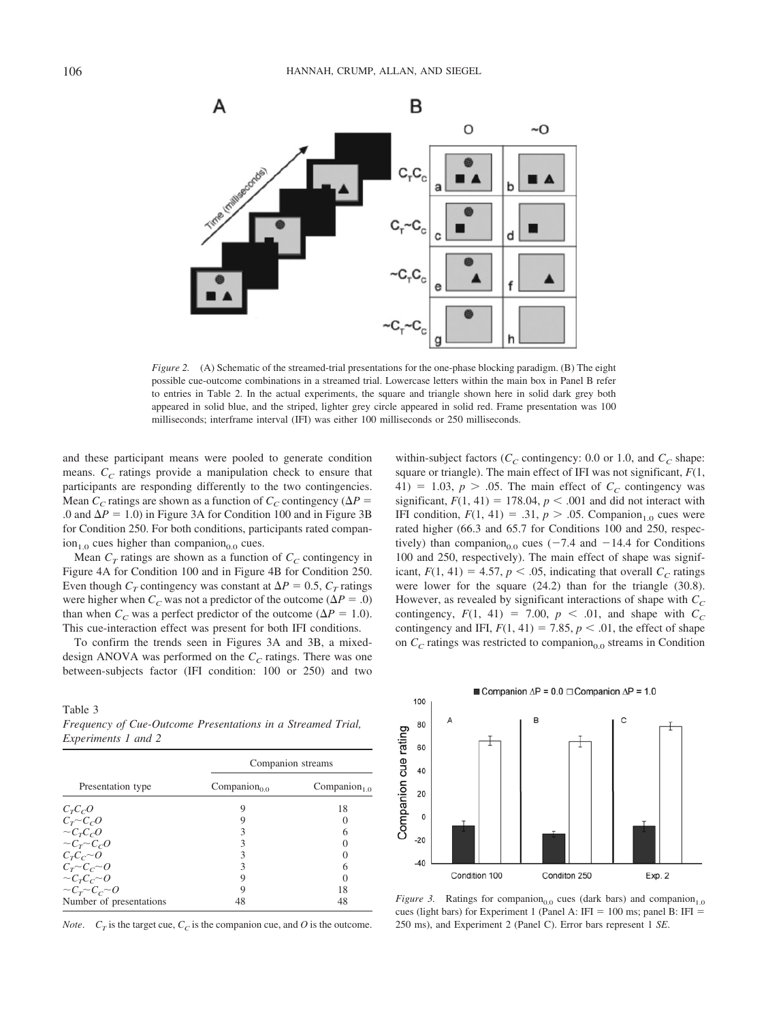

*Figure 2.* (A) Schematic of the streamed-trial presentations for the one-phase blocking paradigm. (B) The eight possible cue-outcome combinations in a streamed trial. Lowercase letters within the main box in Panel B refer to entries in Table 2. In the actual experiments, the square and triangle shown here in solid dark grey both appeared in solid blue, and the striped, lighter grey circle appeared in solid red. Frame presentation was 100 milliseconds; interframe interval (IFI) was either 100 milliseconds or 250 milliseconds.

and these participant means were pooled to generate condition means.  $C<sub>C</sub>$  ratings provide a manipulation check to ensure that participants are responding differently to the two contingencies. Mean  $C_C$  ratings are shown as a function of  $C_C$  contingency ( $\Delta P$  = .0 and  $\Delta P = 1.0$ ) in Figure 3A for Condition 100 and in Figure 3B for Condition 250. For both conditions, participants rated compan- $\text{ion}_{1.0}$  cues higher than companion<sub>0.0</sub> cues.

Mean  $C_T$  ratings are shown as a function of  $C_C$  contingency in Figure 4A for Condition 100 and in Figure 4B for Condition 250. Even though  $C_T$  contingency was constant at  $\Delta P = 0.5$ ,  $C_T$  ratings were higher when  $C_C$  was not a predictor of the outcome ( $\Delta P = .0$ ) than when  $C_C$  was a perfect predictor of the outcome ( $\Delta P = 1.0$ ). This cue-interaction effect was present for both IFI conditions.

To confirm the trends seen in Figures 3A and 3B, a mixeddesign ANOVA was performed on the  $C_C$  ratings. There was one between-subjects factor (IFI condition: 100 or 250) and two

Table 3 *Frequency of Cue-Outcome Presentations in a Streamed Trial, Experiments 1 and 2*

|                                       | Companion streams        |                          |  |
|---------------------------------------|--------------------------|--------------------------|--|
| Presentation type                     | Companion <sub>0.0</sub> | Companion <sub>1.0</sub> |  |
| $C_T C_C O$                           |                          | 18                       |  |
| $C_T \sim C_C O$                      |                          |                          |  |
|                                       |                          | 6                        |  |
| $\sim C_T C_C$<br>$\sim C_T \sim C_C$ |                          |                          |  |
| $C_T C_C \sim 0$                      |                          |                          |  |
| $C_T \sim C_C \sim O$                 |                          | 6                        |  |
| $\sim C_T C_C \sim O$                 |                          |                          |  |
| $\sim C_r \sim C_c \sim 0$            |                          | 18                       |  |
| Number of presentations               | 48                       | 48                       |  |

*Note.*  $C_T$  is the target cue,  $C_C$  is the companion cue, and *O* is the outcome.

within-subject factors ( $C_C$  contingency: 0.0 or 1.0, and  $C_C$  shape: square or triangle). The main effect of IFI was not significant, *F*(1, 41) = 1.03,  $p > .05$ . The main effect of  $C_C$  contingency was significant,  $F(1, 41) = 178.04$ ,  $p < .001$  and did not interact with IFI condition,  $F(1, 41) = .31$ ,  $p > .05$ . Companion<sub>1.0</sub> cues were rated higher (66.3 and 65.7 for Conditions 100 and 250, respectively) than companion<sub>0.0</sub> cues ( $-7.4$  and  $-14.4$  for Conditions 100 and 250, respectively). The main effect of shape was significant,  $F(1, 41) = 4.57$ ,  $p < .05$ , indicating that overall  $C_C$  ratings were lower for the square (24.2) than for the triangle (30.8). However, as revealed by significant interactions of shape with  $C_C$ contingency,  $F(1, 41) = 7.00$ ,  $p < .01$ , and shape with  $C_C$ contingency and IFI,  $F(1, 41) = 7.85$ ,  $p < .01$ , the effect of shape on  $C_C$  ratings was restricted to companion<sub>0.0</sub> streams in Condition



*Figure 3.* Ratings for companion<sub>0.0</sub> cues (dark bars) and companion<sub>1.0</sub> cues (light bars) for Experiment 1 (Panel A: IFI =  $100 \text{ ms}$ ; panel B: IFI = 250 ms), and Experiment 2 (Panel C). Error bars represent 1 *SE*.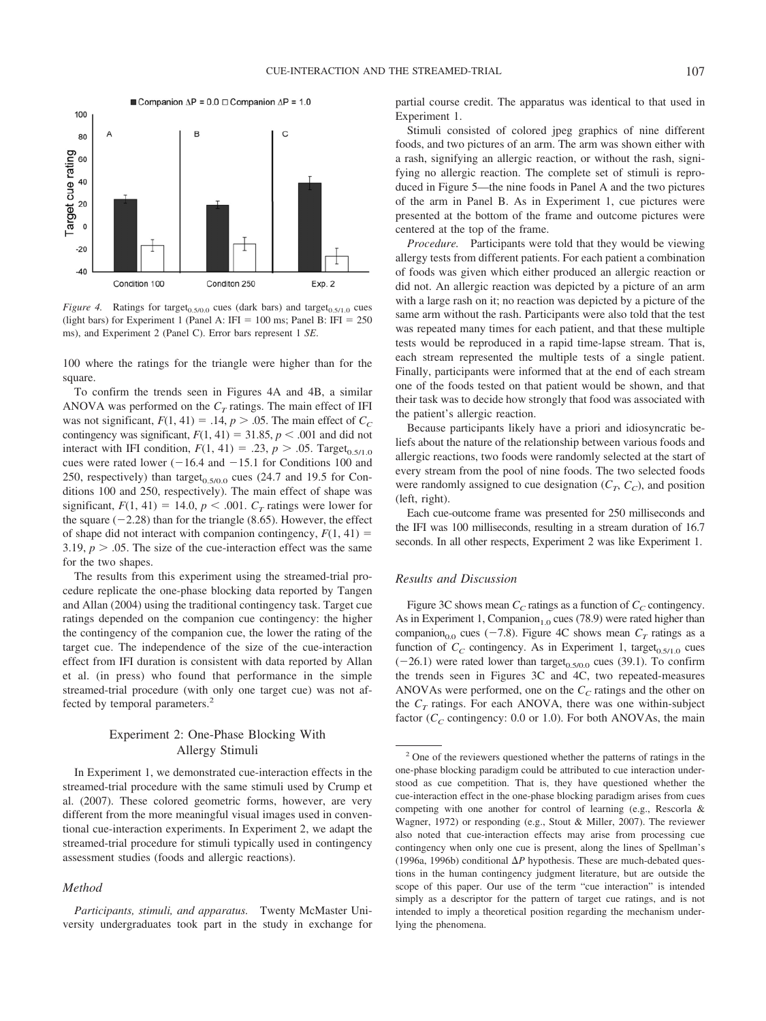

*Figure 4.* Ratings for target<sub>0.5/0.0</sub> cues (dark bars) and target<sub>0.5/1.0</sub> cues (light bars) for Experiment 1 (Panel A: IFI =  $100$  ms; Panel B: IFI =  $250$ ms), and Experiment 2 (Panel C). Error bars represent 1 *SE*.

100 where the ratings for the triangle were higher than for the square.

To confirm the trends seen in Figures 4A and 4B, a similar ANOVA was performed on the  $C_T$  ratings. The main effect of IFI was not significant,  $F(1, 41) = .14$ ,  $p > .05$ . The main effect of  $C_C$ contingency was significant,  $F(1, 41) = 31.85$ ,  $p < .001$  and did not interact with IFI condition,  $F(1, 41) = .23$ ,  $p > .05$ . Target<sub>0.5/1.0</sub> cues were rated lower  $(-16.4 \text{ and } -15.1 \text{ for Conditions } 100 \text{ and }$ 250, respectively) than target<sub>0.5/0.0</sub> cues (24.7 and 19.5 for Conditions 100 and 250, respectively). The main effect of shape was significant,  $F(1, 41) = 14.0$ ,  $p < .001$ .  $C_T$  ratings were lower for the square  $(-2.28)$  than for the triangle (8.65). However, the effect of shape did not interact with companion contingency,  $F(1, 41) =$ 3.19,  $p > 0.05$ . The size of the cue-interaction effect was the same for the two shapes.

The results from this experiment using the streamed-trial procedure replicate the one-phase blocking data reported by Tangen and Allan (2004) using the traditional contingency task. Target cue ratings depended on the companion cue contingency: the higher the contingency of the companion cue, the lower the rating of the target cue. The independence of the size of the cue-interaction effect from IFI duration is consistent with data reported by Allan et al. (in press) who found that performance in the simple streamed-trial procedure (with only one target cue) was not affected by temporal parameters.<sup>2</sup>

# Experiment 2: One-Phase Blocking With Allergy Stimuli

In Experiment 1, we demonstrated cue-interaction effects in the streamed-trial procedure with the same stimuli used by Crump et al. (2007). These colored geometric forms, however, are very different from the more meaningful visual images used in conventional cue-interaction experiments. In Experiment 2, we adapt the streamed-trial procedure for stimuli typically used in contingency assessment studies (foods and allergic reactions).

### *Method*

partial course credit. The apparatus was identical to that used in Experiment 1.

Stimuli consisted of colored jpeg graphics of nine different foods, and two pictures of an arm. The arm was shown either with a rash, signifying an allergic reaction, or without the rash, signifying no allergic reaction. The complete set of stimuli is reproduced in Figure 5—the nine foods in Panel A and the two pictures of the arm in Panel B. As in Experiment 1, cue pictures were presented at the bottom of the frame and outcome pictures were centered at the top of the frame.

*Procedure.* Participants were told that they would be viewing allergy tests from different patients. For each patient a combination of foods was given which either produced an allergic reaction or did not. An allergic reaction was depicted by a picture of an arm with a large rash on it; no reaction was depicted by a picture of the same arm without the rash. Participants were also told that the test was repeated many times for each patient, and that these multiple tests would be reproduced in a rapid time-lapse stream. That is, each stream represented the multiple tests of a single patient. Finally, participants were informed that at the end of each stream one of the foods tested on that patient would be shown, and that their task was to decide how strongly that food was associated with the patient's allergic reaction.

Because participants likely have a priori and idiosyncratic beliefs about the nature of the relationship between various foods and allergic reactions, two foods were randomly selected at the start of every stream from the pool of nine foods. The two selected foods were randomly assigned to cue designation  $(C_T, C_C)$ , and position (left, right).

Each cue-outcome frame was presented for 250 milliseconds and the IFI was 100 milliseconds, resulting in a stream duration of 16.7 seconds. In all other respects, Experiment 2 was like Experiment 1.

### *Results and Discussion*

Figure 3C shows mean  $C_C$  ratings as a function of  $C_C$  contingency. As in Experiment 1, Companion<sub>1.0</sub> cues (78.9) were rated higher than companion<sub>0.0</sub> cues ( $-7.8$ ). Figure 4C shows mean  $C_T$  ratings as a function of  $C_C$  contingency. As in Experiment 1, target<sub>0.5/1.0</sub> cues  $(-26.1)$  were rated lower than target<sub>0.5/0.0</sub> cues (39.1). To confirm the trends seen in Figures 3C and 4C, two repeated-measures ANOVAs were performed, one on the  $C_C$  ratings and the other on the  $C_T$  ratings. For each ANOVA, there was one within-subject factor  $(C_C$  contingency: 0.0 or 1.0). For both ANOVAs, the main

*Participants, stimuli, and apparatus.* Twenty McMaster University undergraduates took part in the study in exchange for

<sup>2</sup> One of the reviewers questioned whether the patterns of ratings in the one-phase blocking paradigm could be attributed to cue interaction understood as cue competition. That is, they have questioned whether the cue-interaction effect in the one-phase blocking paradigm arises from cues competing with one another for control of learning (e.g., Rescorla & Wagner, 1972) or responding (e.g., Stout & Miller, 2007). The reviewer also noted that cue-interaction effects may arise from processing cue contingency when only one cue is present, along the lines of Spellman's (1996a, 1996b) conditional  $\Delta P$  hypothesis. These are much-debated questions in the human contingency judgment literature, but are outside the scope of this paper. Our use of the term "cue interaction" is intended simply as a descriptor for the pattern of target cue ratings, and is not intended to imply a theoretical position regarding the mechanism underlying the phenomena.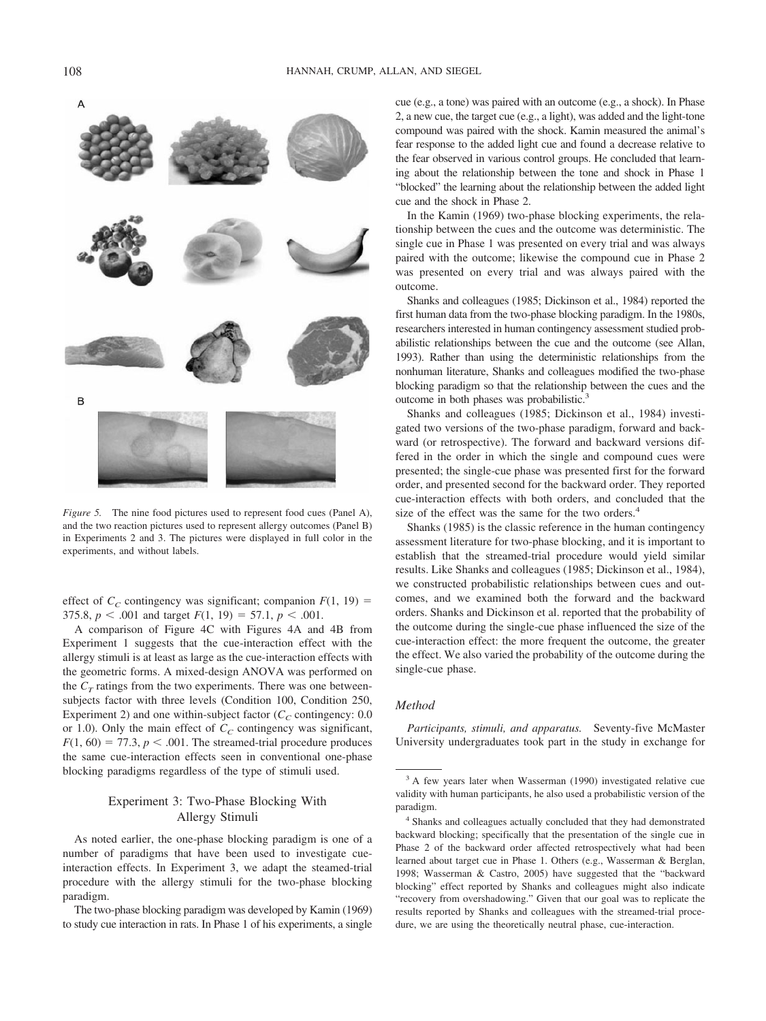

*Figure 5.* The nine food pictures used to represent food cues (Panel A), and the two reaction pictures used to represent allergy outcomes (Panel B) in Experiments 2 and 3. The pictures were displayed in full color in the experiments, and without labels.

effect of  $C_C$  contingency was significant; companion  $F(1, 19)$  = 375.8,  $p < .001$  and target  $F(1, 19) = 57.1$ ,  $p < .001$ .

A comparison of Figure 4C with Figures 4A and 4B from Experiment 1 suggests that the cue-interaction effect with the allergy stimuli is at least as large as the cue-interaction effects with the geometric forms. A mixed-design ANOVA was performed on the  $C_T$  ratings from the two experiments. There was one betweensubjects factor with three levels (Condition 100, Condition 250, Experiment 2) and one within-subject factor  $(C_C \text{ contingency: } 0.0$ or 1.0). Only the main effect of  $C_C$  contingency was significant,  $F(1, 60) = 77.3$ ,  $p < .001$ . The streamed-trial procedure produces the same cue-interaction effects seen in conventional one-phase blocking paradigms regardless of the type of stimuli used.

# Experiment 3: Two-Phase Blocking With Allergy Stimuli

As noted earlier, the one-phase blocking paradigm is one of a number of paradigms that have been used to investigate cueinteraction effects. In Experiment 3, we adapt the steamed-trial procedure with the allergy stimuli for the two-phase blocking paradigm.

The two-phase blocking paradigm was developed by Kamin (1969) to study cue interaction in rats. In Phase 1 of his experiments, a single cue (e.g., a tone) was paired with an outcome (e.g., a shock). In Phase 2, a new cue, the target cue (e.g., a light), was added and the light-tone compound was paired with the shock. Kamin measured the animal's fear response to the added light cue and found a decrease relative to the fear observed in various control groups. He concluded that learning about the relationship between the tone and shock in Phase 1 "blocked" the learning about the relationship between the added light cue and the shock in Phase 2.

In the Kamin (1969) two-phase blocking experiments, the relationship between the cues and the outcome was deterministic. The single cue in Phase 1 was presented on every trial and was always paired with the outcome; likewise the compound cue in Phase 2 was presented on every trial and was always paired with the outcome.

Shanks and colleagues (1985; Dickinson et al., 1984) reported the first human data from the two-phase blocking paradigm. In the 1980s, researchers interested in human contingency assessment studied probabilistic relationships between the cue and the outcome (see Allan, 1993). Rather than using the deterministic relationships from the nonhuman literature, Shanks and colleagues modified the two-phase blocking paradigm so that the relationship between the cues and the outcome in both phases was probabilistic.<sup>3</sup>

Shanks and colleagues (1985; Dickinson et al., 1984) investigated two versions of the two-phase paradigm, forward and backward (or retrospective). The forward and backward versions differed in the order in which the single and compound cues were presented; the single-cue phase was presented first for the forward order, and presented second for the backward order. They reported cue-interaction effects with both orders, and concluded that the size of the effect was the same for the two orders.<sup>4</sup>

Shanks (1985) is the classic reference in the human contingency assessment literature for two-phase blocking, and it is important to establish that the streamed-trial procedure would yield similar results. Like Shanks and colleagues (1985; Dickinson et al., 1984), we constructed probabilistic relationships between cues and outcomes, and we examined both the forward and the backward orders. Shanks and Dickinson et al. reported that the probability of the outcome during the single-cue phase influenced the size of the cue-interaction effect: the more frequent the outcome, the greater the effect. We also varied the probability of the outcome during the single-cue phase.

### *Method*

*Participants, stimuli, and apparatus.* Seventy-five McMaster University undergraduates took part in the study in exchange for

<sup>&</sup>lt;sup>3</sup> A few years later when Wasserman (1990) investigated relative cue validity with human participants, he also used a probabilistic version of the paradigm.

<sup>4</sup> Shanks and colleagues actually concluded that they had demonstrated backward blocking; specifically that the presentation of the single cue in Phase 2 of the backward order affected retrospectively what had been learned about target cue in Phase 1. Others (e.g., Wasserman & Berglan, 1998; Wasserman & Castro, 2005) have suggested that the "backward blocking" effect reported by Shanks and colleagues might also indicate "recovery from overshadowing." Given that our goal was to replicate the results reported by Shanks and colleagues with the streamed-trial procedure, we are using the theoretically neutral phase, cue-interaction.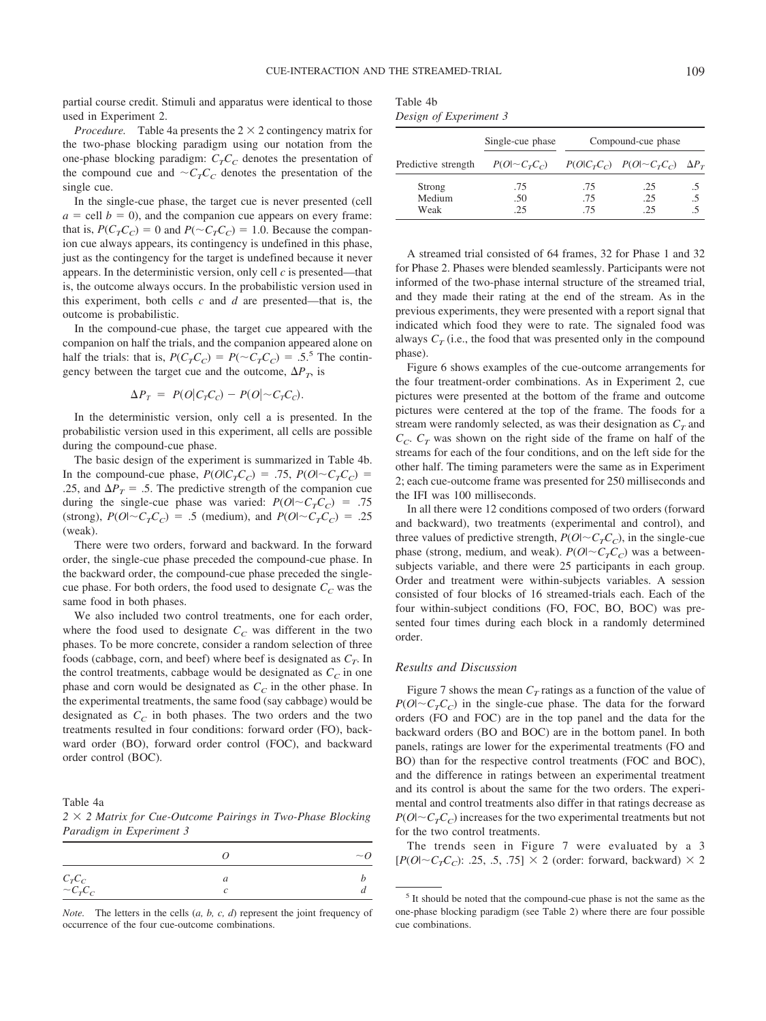partial course credit. Stimuli and apparatus were identical to those used in Experiment 2.

*Procedure.* Table 4a presents the  $2 \times 2$  contingency matrix for the two-phase blocking paradigm using our notation from the one-phase blocking paradigm:  $C<sub>T</sub>C<sub>C</sub>$  denotes the presentation of the compound cue and  $\sim C_T C_C$  denotes the presentation of the single cue.

In the single-cue phase, the target cue is never presented (cell  $a =$  cell  $b = 0$ ), and the companion cue appears on every frame: that is,  $P(C_T C_C) = 0$  and  $P(\sim C_T C_C) = 1.0$ . Because the companion cue always appears, its contingency is undefined in this phase, just as the contingency for the target is undefined because it never appears. In the deterministic version, only cell *c* is presented—that is, the outcome always occurs. In the probabilistic version used in this experiment, both cells *c* and *d* are presented—that is, the outcome is probabilistic.

In the compound-cue phase, the target cue appeared with the companion on half the trials, and the companion appeared alone on half the trials: that is,  $P(C_T C_C) = P(\sim C_T C_C) = .5$ <sup>5</sup> The contingency between the target cue and the outcome,  $\Delta P_T$ , is

$$
\Delta P_T = P(O|C_T C_C) - P(O|\sim C_T C_C).
$$

In the deterministic version, only cell a is presented. In the probabilistic version used in this experiment, all cells are possible during the compound-cue phase.

The basic design of the experiment is summarized in Table 4b. In the compound-cue phase,  $P(O|C<sub>T</sub>C<sub>C</sub>) = .75$ ,  $P(O|\sim C<sub>T</sub>C<sub>C</sub>) =$ .25, and  $\Delta P_T = .5$ . The predictive strength of the companion cue during the single-cue phase was varied:  $P(O|\sim C<sub>T</sub>C<sub>C</sub>)$  = .75 (strong),  $P(O|\sim C_T C_C) = .5$  (medium), and  $P(O|\sim C_T C_C) = .25$ (weak).

There were two orders, forward and backward. In the forward order, the single-cue phase preceded the compound-cue phase. In the backward order, the compound-cue phase preceded the singlecue phase. For both orders, the food used to designate  $C_C$  was the same food in both phases.

We also included two control treatments, one for each order, where the food used to designate  $C_C$  was different in the two phases. To be more concrete, consider a random selection of three foods (cabbage, corn, and beef) where beef is designated as  $C_T$ . In the control treatments, cabbage would be designated as  $C<sub>C</sub>$  in one phase and corn would be designated as  $C_C$  in the other phase. In the experimental treatments, the same food (say cabbage) would be designated as  $C_C$  in both phases. The two orders and the two treatments resulted in four conditions: forward order (FO), backward order (BO), forward order control (FOC), and backward order control (BOC).

Table 4a

2  $\times$  2 Matrix for Cue-Outcome Pairings in Two-Phase Blocking *Paradigm in Experiment 3*

|                                                              |   | $\sim Q$ |
|--------------------------------------------------------------|---|----------|
| $\begin{array}{ccc} C_T C_C & C_T C_C & C_T C_C \end{array}$ | a |          |

*Note.* The letters in the cells (*a, b, c, d*) represent the joint frequency of occurrence of the four cue-outcome combinations.

| Table 4b               |  |
|------------------------|--|
| Design of Experiment 3 |  |

|                     | Single-cue phase          | Compound-cue phase |                                          |  |
|---------------------|---------------------------|--------------------|------------------------------------------|--|
| Predictive strength | $P(O \sim C_{\tau}C_{c})$ |                    | $P(O CTCC)$ $P(O \sim CTCC)$ $\Delta PT$ |  |
| Strong              | .75                       | .75                | .25                                      |  |
| Medium              | .50                       | .75                | .25                                      |  |
| Weak                | 25                        | .75                | -25                                      |  |

A streamed trial consisted of 64 frames, 32 for Phase 1 and 32 for Phase 2. Phases were blended seamlessly. Participants were not informed of the two-phase internal structure of the streamed trial, and they made their rating at the end of the stream. As in the previous experiments, they were presented with a report signal that indicated which food they were to rate. The signaled food was always  $C_T$  (i.e., the food that was presented only in the compound phase).

Figure 6 shows examples of the cue-outcome arrangements for the four treatment-order combinations. As in Experiment 2, cue pictures were presented at the bottom of the frame and outcome pictures were centered at the top of the frame. The foods for a stream were randomly selected, as was their designation as  $C_T$  and  $C_c$ .  $C_T$  was shown on the right side of the frame on half of the streams for each of the four conditions, and on the left side for the other half. The timing parameters were the same as in Experiment 2; each cue-outcome frame was presented for 250 milliseconds and the IFI was 100 milliseconds.

In all there were 12 conditions composed of two orders (forward and backward), two treatments (experimental and control), and three values of predictive strength,  $P(O|\sim C_T C_C)$ , in the single-cue phase (strong, medium, and weak).  $P(O|\sim C<sub>T</sub>C<sub>C</sub>)$  was a betweensubjects variable, and there were 25 participants in each group. Order and treatment were within-subjects variables. A session consisted of four blocks of 16 streamed-trials each. Each of the four within-subject conditions (FO, FOC, BO, BOC) was presented four times during each block in a randomly determined order.

## *Results and Discussion*

Figure 7 shows the mean  $C_T$  ratings as a function of the value of  $P(O|\sim C<sub>T</sub>C<sub>C</sub>)$  in the single-cue phase. The data for the forward orders (FO and FOC) are in the top panel and the data for the backward orders (BO and BOC) are in the bottom panel. In both panels, ratings are lower for the experimental treatments (FO and BO) than for the respective control treatments (FOC and BOC), and the difference in ratings between an experimental treatment and its control is about the same for the two orders. The experimental and control treatments also differ in that ratings decrease as  $P(O|\sim C<sub>T</sub>C<sub>C</sub>)$  increases for the two experimental treatments but not for the two control treatments.

The trends seen in Figure 7 were evaluated by a 3  $[P(O|\sim C_T C_C)$ : .25, .5, .75]  $\times$  2 (order: forward, backward)  $\times$  2

<sup>5</sup> It should be noted that the compound-cue phase is not the same as the one-phase blocking paradigm (see Table 2) where there are four possible cue combinations.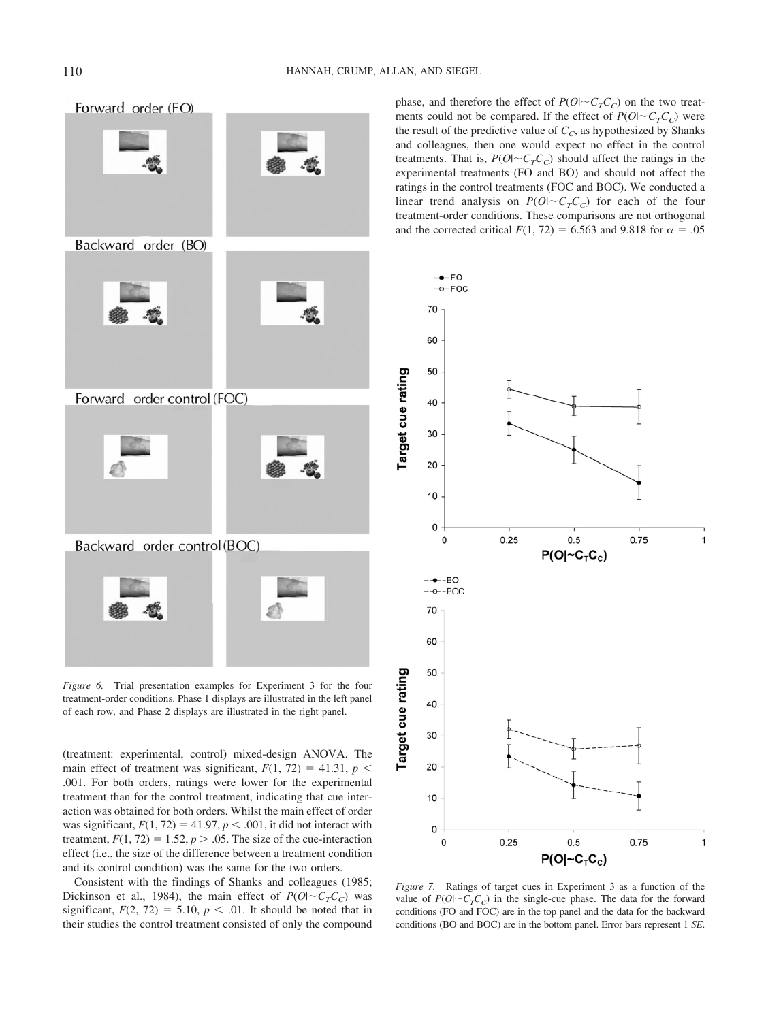

*Figure 6.* Trial presentation examples for Experiment 3 for the four treatment-order conditions. Phase 1 displays are illustrated in the left panel of each row, and Phase 2 displays are illustrated in the right panel.

(treatment: experimental, control) mixed-design ANOVA. The main effect of treatment was significant,  $F(1, 72) = 41.31$ ,  $p <$ .001. For both orders, ratings were lower for the experimental treatment than for the control treatment, indicating that cue interaction was obtained for both orders. Whilst the main effect of order was significant,  $F(1, 72) = 41.97$ ,  $p < .001$ , it did not interact with treatment,  $F(1, 72) = 1.52$ ,  $p > .05$ . The size of the cue-interaction effect (i.e., the size of the difference between a treatment condition and its control condition) was the same for the two orders.

Consistent with the findings of Shanks and colleagues (1985; Dickinson et al., 1984), the main effect of  $P(O|\sim C<sub>T</sub>C<sub>C</sub>)$  was significant,  $F(2, 72) = 5.10$ ,  $p < .01$ . It should be noted that in their studies the control treatment consisted of only the compound phase, and therefore the effect of  $P(O|\sim C_T C_C)$  on the two treatments could not be compared. If the effect of  $P(O|\sim C<sub>T</sub>C<sub>C</sub>)$  were the result of the predictive value of  $C_C$ , as hypothesized by Shanks and colleagues, then one would expect no effect in the control treatments. That is,  $P(O|\sim C<sub>T</sub>C<sub>C</sub>)$  should affect the ratings in the experimental treatments (FO and BO) and should not affect the ratings in the control treatments (FOC and BOC). We conducted a linear trend analysis on  $P(O|\sim C<sub>T</sub>C<sub>C</sub>)$  for each of the four treatment-order conditions. These comparisons are not orthogonal and the corrected critical  $F(1, 72) = 6.563$  and 9.818 for  $\alpha = .05$ 



*Figure 7.* Ratings of target cues in Experiment 3 as a function of the value of  $P(O|\sim C<sub>T</sub>C<sub>C</sub>)$  in the single-cue phase. The data for the forward conditions (FO and FOC) are in the top panel and the data for the backward conditions (BO and BOC) are in the bottom panel. Error bars represent 1 *SE*.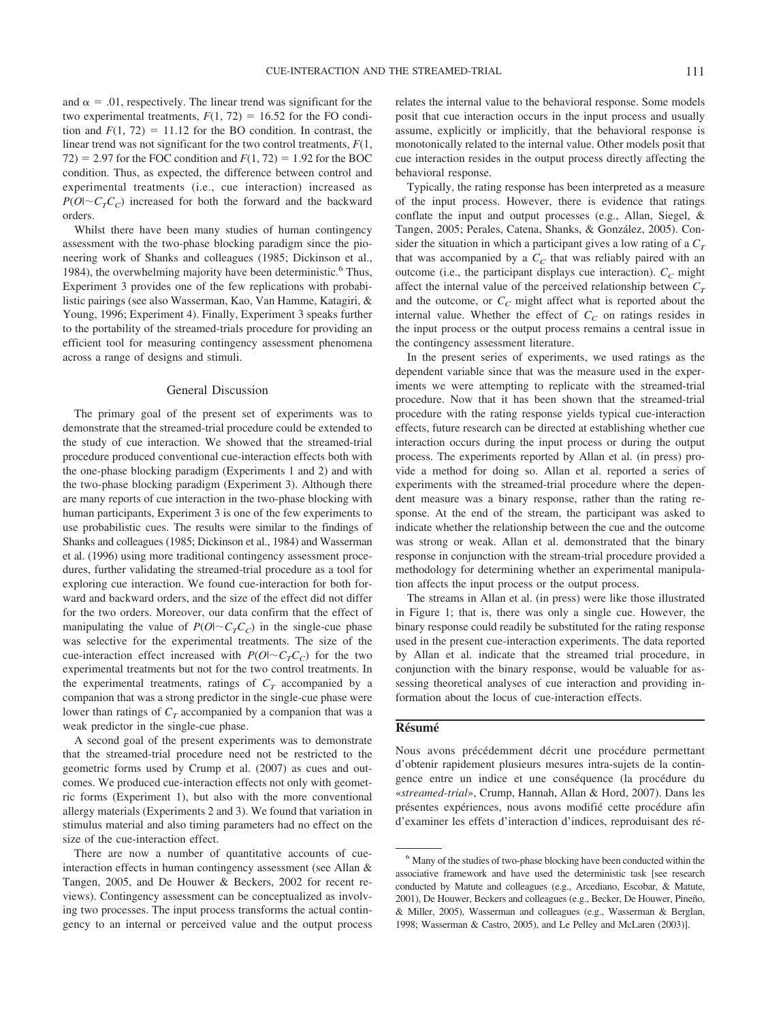and  $\alpha = 0.01$ , respectively. The linear trend was significant for the two experimental treatments,  $F(1, 72) = 16.52$  for the FO condition and  $F(1, 72) = 11.12$  for the BO condition. In contrast, the linear trend was not significant for the two control treatments, *F*(1,  $72$ ) = 2.97 for the FOC condition and  $F(1, 72) = 1.92$  for the BOC condition. Thus, as expected, the difference between control and experimental treatments (i.e., cue interaction) increased as  $P(O|\sim C<sub>T</sub>C<sub>C</sub>)$  increased for both the forward and the backward orders.

Whilst there have been many studies of human contingency assessment with the two-phase blocking paradigm since the pioneering work of Shanks and colleagues (1985; Dickinson et al., 1984), the overwhelming majority have been deterministic.<sup>6</sup> Thus, Experiment 3 provides one of the few replications with probabilistic pairings (see also Wasserman, Kao, Van Hamme, Katagiri, & Young, 1996; Experiment 4). Finally, Experiment 3 speaks further to the portability of the streamed-trials procedure for providing an efficient tool for measuring contingency assessment phenomena across a range of designs and stimuli.

### General Discussion

The primary goal of the present set of experiments was to demonstrate that the streamed-trial procedure could be extended to the study of cue interaction. We showed that the streamed-trial procedure produced conventional cue-interaction effects both with the one-phase blocking paradigm (Experiments 1 and 2) and with the two-phase blocking paradigm (Experiment 3). Although there are many reports of cue interaction in the two-phase blocking with human participants, Experiment 3 is one of the few experiments to use probabilistic cues. The results were similar to the findings of Shanks and colleagues (1985; Dickinson et al., 1984) and Wasserman et al. (1996) using more traditional contingency assessment procedures, further validating the streamed-trial procedure as a tool for exploring cue interaction. We found cue-interaction for both forward and backward orders, and the size of the effect did not differ for the two orders. Moreover, our data confirm that the effect of manipulating the value of  $P(O|\sim C<sub>T</sub>C<sub>C</sub>)$  in the single-cue phase was selective for the experimental treatments. The size of the cue-interaction effect increased with  $P(O|\sim C<sub>T</sub>C<sub>C</sub>)$  for the two experimental treatments but not for the two control treatments. In the experimental treatments, ratings of  $C_T$  accompanied by a companion that was a strong predictor in the single-cue phase were lower than ratings of  $C_T$  accompanied by a companion that was a weak predictor in the single-cue phase.

A second goal of the present experiments was to demonstrate that the streamed-trial procedure need not be restricted to the geometric forms used by Crump et al. (2007) as cues and outcomes. We produced cue-interaction effects not only with geometric forms (Experiment 1), but also with the more conventional allergy materials (Experiments 2 and 3). We found that variation in stimulus material and also timing parameters had no effect on the size of the cue-interaction effect.

There are now a number of quantitative accounts of cueinteraction effects in human contingency assessment (see Allan & Tangen, 2005, and De Houwer & Beckers, 2002 for recent reviews). Contingency assessment can be conceptualized as involving two processes. The input process transforms the actual contingency to an internal or perceived value and the output process relates the internal value to the behavioral response. Some models posit that cue interaction occurs in the input process and usually assume, explicitly or implicitly, that the behavioral response is monotonically related to the internal value. Other models posit that cue interaction resides in the output process directly affecting the behavioral response.

Typically, the rating response has been interpreted as a measure of the input process. However, there is evidence that ratings conflate the input and output processes (e.g., Allan, Siegel, & Tangen, 2005; Perales, Catena, Shanks, & González, 2005). Consider the situation in which a participant gives a low rating of a  $C_T$ that was accompanied by a  $C<sub>C</sub>$  that was reliably paired with an outcome (i.e., the participant displays cue interaction).  $C_C$  might affect the internal value of the perceived relationship between  $C_T$ and the outcome, or  $C_C$  might affect what is reported about the internal value. Whether the effect of  $C_C$  on ratings resides in the input process or the output process remains a central issue in the contingency assessment literature.

In the present series of experiments, we used ratings as the dependent variable since that was the measure used in the experiments we were attempting to replicate with the streamed-trial procedure. Now that it has been shown that the streamed-trial procedure with the rating response yields typical cue-interaction effects, future research can be directed at establishing whether cue interaction occurs during the input process or during the output process. The experiments reported by Allan et al. (in press) provide a method for doing so. Allan et al. reported a series of experiments with the streamed-trial procedure where the dependent measure was a binary response, rather than the rating response. At the end of the stream, the participant was asked to indicate whether the relationship between the cue and the outcome was strong or weak. Allan et al. demonstrated that the binary response in conjunction with the stream-trial procedure provided a methodology for determining whether an experimental manipulation affects the input process or the output process.

The streams in Allan et al. (in press) were like those illustrated in Figure 1; that is, there was only a single cue. However, the binary response could readily be substituted for the rating response used in the present cue-interaction experiments. The data reported by Allan et al. indicate that the streamed trial procedure, in conjunction with the binary response, would be valuable for assessing theoretical analyses of cue interaction and providing information about the locus of cue-interaction effects.

### **Re´sume´**

Nous avons précédemment décrit une procédure permettant d'obtenir rapidement plusieurs mesures intra-sujets de la contingence entre un indice et une conséquence (la procédure du «*streamed-trial*», Crump, Hannah, Allan & Hord, 2007). Dans les présentes expériences, nous avons modifié cette procédure afin d'examiner les effets d'interaction d'indices, reproduisant des ré-

<sup>6</sup> Many of the studies of two-phase blocking have been conducted within the associative framework and have used the deterministic task [see research conducted by Matute and colleagues (e.g., Arcediano, Escobar, & Matute, 2001), De Houwer, Beckers and colleagues (e.g., Becker, De Houwer, Pineño, & Miller, 2005), Wasserman and colleagues (e.g., Wasserman & Berglan, 1998; Wasserman & Castro, 2005), and Le Pelley and McLaren (2003)].